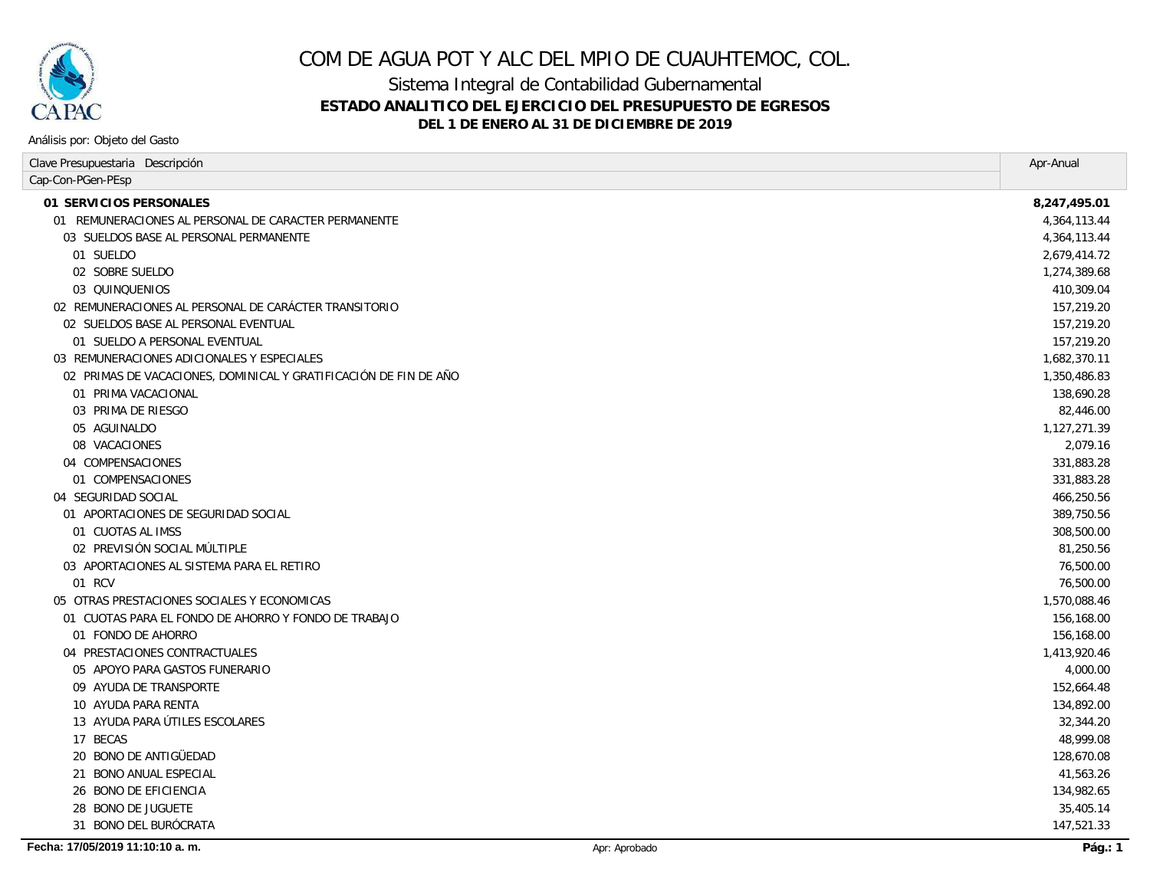

Sistema Integral de Contabilidad Gubernamental **ESTADO ANALITICO DEL EJERCICIO DEL PRESUPUESTO DE EGRESOS**

**DEL 1 DE ENERO AL 31 DE DICIEMBRE DE 2019**

| Clave Presupuestaria Descripción                                 | Apr-Anual    |
|------------------------------------------------------------------|--------------|
| Cap-Con-PGen-PEsp                                                |              |
| 01 SERVICIOS PERSONALES                                          | 8,247,495.01 |
| 01 REMUNERACIONES AL PERSONAL DE CARACTER PERMANENTE             | 4,364,113.44 |
| 03 SUELDOS BASE AL PERSONAL PERMANENTE                           | 4,364,113.44 |
| 01 SUELDO                                                        | 2,679,414.72 |
| 02 SOBRE SUELDO                                                  | 1,274,389.68 |
| 03 QUINQUENIOS                                                   | 410,309.04   |
| 02 REMUNERACIONES AL PERSONAL DE CARACTER TRANSITORIO            | 157,219.20   |
| 02 SUELDOS BASE AL PERSONAL EVENTUAL                             | 157,219.20   |
| 01 SUELDO A PERSONAL EVENTUAL                                    | 157,219.20   |
| 03 REMUNERACIONES ADICIONALES Y ESPECIALES                       | 1,682,370.11 |
| 02 PRIMAS DE VACACIONES, DOMINICAL Y GRATIFICACIÓN DE FIN DE AÑO | 1,350,486.83 |
| 01 PRIMA VACACIONAL                                              | 138,690.28   |
| 03 PRIMA DE RIESGO                                               | 82,446.00    |
| 05 AGUINALDO                                                     | 1,127,271.39 |
| 08 VACACIONES                                                    | 2,079.16     |
| 04 COMPENSACIONES                                                | 331,883.28   |
| 01 COMPENSACIONES                                                | 331,883.28   |
| 04 SEGURIDAD SOCIAL                                              | 466,250.56   |
| 01 APORTACIONES DE SEGURIDAD SOCIAL                              | 389,750.56   |
| 01 CUOTAS AL IMSS                                                | 308,500.00   |
| 02 PREVISIÓN SOCIAL MÚLTIPLE                                     | 81,250.56    |
| 03 APORTACIONES AL SISTEMA PARA EL RETIRO                        | 76,500.00    |
| 01 RCV                                                           | 76,500.00    |
| 05 OTRAS PRESTACIONES SOCIALES Y ECONOMICAS                      | 1,570,088.46 |
| 01 CUOTAS PARA EL FONDO DE AHORRO Y FONDO DE TRABAJO             | 156,168.00   |
| 01 FONDO DE AHORRO                                               | 156,168.00   |
| 04 PRESTACIONES CONTRACTUALES                                    | 1,413,920.46 |
| 05 APOYO PARA GASTOS FUNERARIO                                   | 4,000.00     |
| 09 AYUDA DE TRANSPORTE                                           | 152,664.48   |
| 10 AYUDA PARA RENTA                                              | 134,892.00   |
| 13 AYUDA PARA ÚTILES ESCOLARES                                   | 32,344.20    |
| 17 BECAS                                                         | 48,999.08    |
| <i>20 BONO DE ANTIGÜEDAD</i>                                     | 128,670.08   |
| 21 BONO ANUAL ESPECIAL                                           | 41,563.26    |
| 26 BONO DE EFICIENCIA                                            | 134,982.65   |
| 28 BONO DE JUGUETE                                               | 35,405.14    |
| 31 BONO DEL BURÓCRATA                                            | 147,521.33   |
|                                                                  |              |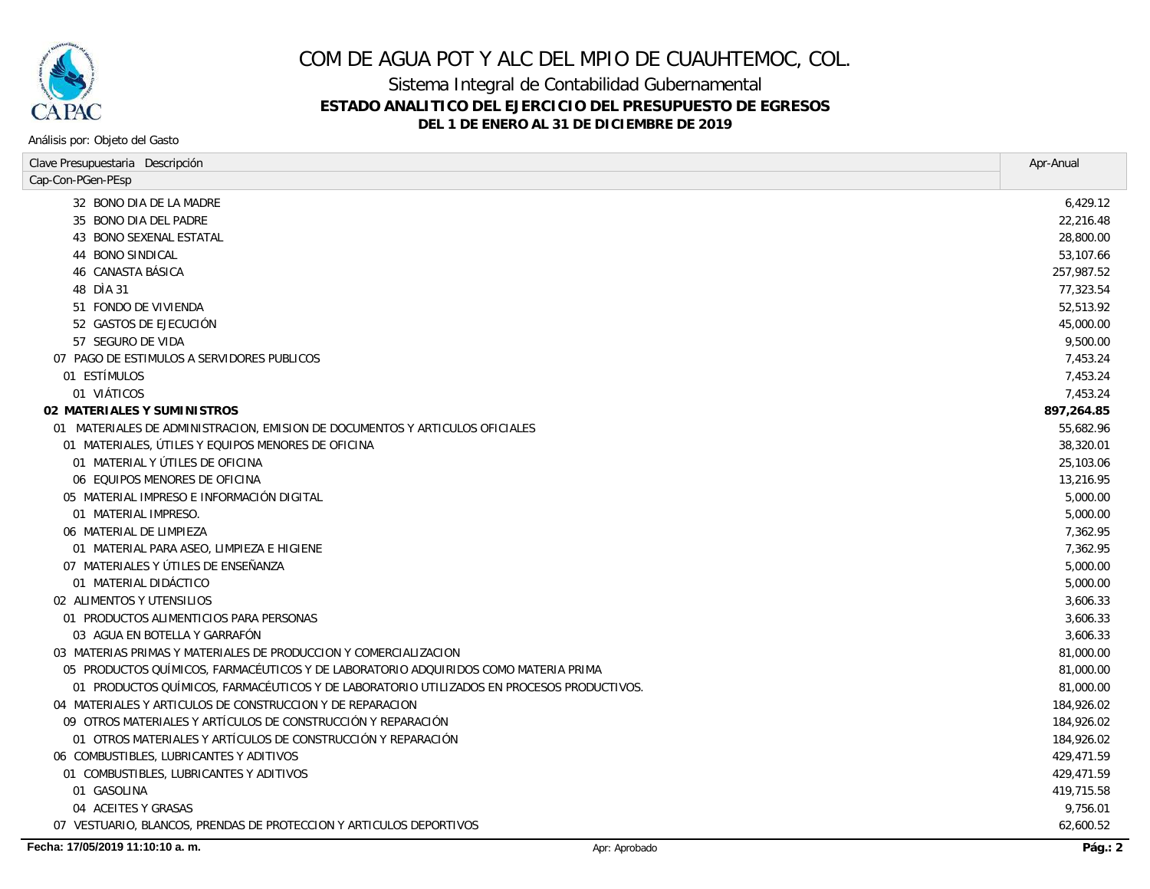

Sistema Integral de Contabilidad Gubernamental

### **ESTADO ANALITICO DEL EJERCICIO DEL PRESUPUESTO DE EGRESOS**

**DEL 1 DE ENERO AL 31 DE DICIEMBRE DE 2019**

| Clave Presupuestaria Descripción                                                          |               | Apr-Anual  |
|-------------------------------------------------------------------------------------------|---------------|------------|
| Cap-Con-PGen-PEsp                                                                         |               |            |
| 32 BONO DIA DE LA MADRE                                                                   |               | 6,429.12   |
| 35 BONO DIA DEL PADRE                                                                     |               | 22,216.48  |
| 43 BONO SEXENAL ESTATAL                                                                   |               | 28,800.00  |
| 44 BONO SINDICAL                                                                          |               | 53,107.66  |
| 46 CANASTA BÁSICA                                                                         |               | 257,987.52 |
| 48 DIA 31                                                                                 |               | 77,323.54  |
| 51 FONDO DE VIVIENDA                                                                      |               | 52,513.92  |
| 52 GASTOS DE EJECUCIÓN                                                                    |               | 45,000.00  |
| 57 SEGURO DE VIDA                                                                         |               | 9,500.00   |
| 07 PAGO DE ESTIMULOS A SERVIDORES PUBLICOS                                                |               | 7,453.24   |
| 01 ESTÍMULOS                                                                              |               | 7,453.24   |
| 01 VIÁTICOS                                                                               |               | 7,453.24   |
| 02 MATERIALES Y SUMINISTROS                                                               |               | 897,264.85 |
| 01 MATERIALES DE ADMINISTRACION, EMISION DE DOCUMENTOS Y ARTICULOS OFICIALES              |               | 55,682.96  |
| 01 MATERIALES, ÚTILES Y EQUIPOS MENORES DE OFICINA                                        |               | 38,320.01  |
| 01 MATERIAL Y ÚTILES DE OFICINA                                                           |               | 25,103.06  |
| 06 EQUIPOS MENORES DE OFICINA                                                             |               | 13,216.95  |
| 05 MATERIAL IMPRESO E INFORMACIÓN DIGITAL                                                 |               | 5,000.00   |
| 01 MATERIAL IMPRESO.                                                                      |               | 5,000.00   |
| 06 MATERIAL DE LIMPIEZA                                                                   |               | 7,362.95   |
| 01 MATERIAL PARA ASEO, LIMPIEZA E HIGIENE                                                 |               | 7,362.95   |
| 07 MATERIALES Y ÚTILES DE ENSEÑANZA                                                       |               | 5,000.00   |
| 01 MATERIAL DIDÁCTICO                                                                     |               | 5,000.00   |
| 02 ALIMENTOS Y UTENSILIOS                                                                 |               | 3,606.33   |
| 01 PRODUCTOS ALIMENTICIOS PARA PERSONAS                                                   |               | 3.606.33   |
| 03 AGUA EN BOTELLA Y GARRAFÓN                                                             |               | 3,606.33   |
| 03 MATERIAS PRIMAS Y MATERIALES DE PRODUCCION Y COMERCIALIZACION                          |               | 81,000.00  |
| 05 PRODUCTOS QUÍMICOS, FARMACÉUTICOS Y DE LABORATORIO ADQUIRIDOS COMO MATERIA PRIMA       |               | 81,000.00  |
| 01 PRODUCTOS QUÍMICOS, FARMACÉUTICOS Y DE LABORATORIO UTILIZADOS EN PROCESOS PRODUCTIVOS. |               | 81,000.00  |
| 04 MATERIALES Y ARTICULOS DE CONSTRUCCION Y DE REPARACION                                 |               | 184,926.02 |
| 09 OTROS MATERIALES Y ARTÍCULOS DE CONSTRUCCIÓN Y REPARACIÓN                              |               | 184,926.02 |
| 01 OTROS MATERIALES Y ARTÍCULOS DE CONSTRUCCIÓN Y REPARACIÓN                              |               | 184,926.02 |
| 06 COMBUSTIBLES, LUBRICANTES Y ADITIVOS                                                   |               | 429,471.59 |
| 01 COMBUSTIBLES, LUBRICANTES Y ADITIVOS                                                   |               | 429,471.59 |
| 01 GASOLINA                                                                               |               | 419,715.58 |
| 04 ACEITES Y GRASAS                                                                       |               | 9,756.01   |
| 07 VESTUARIO, BLANCOS, PRENDAS DE PROTECCION Y ARTICULOS DEPORTIVOS                       |               | 62,600.52  |
| Fecha: 17/05/2019 11:10:10 a.m.                                                           | Apr: Aprobado | Páa.: 2    |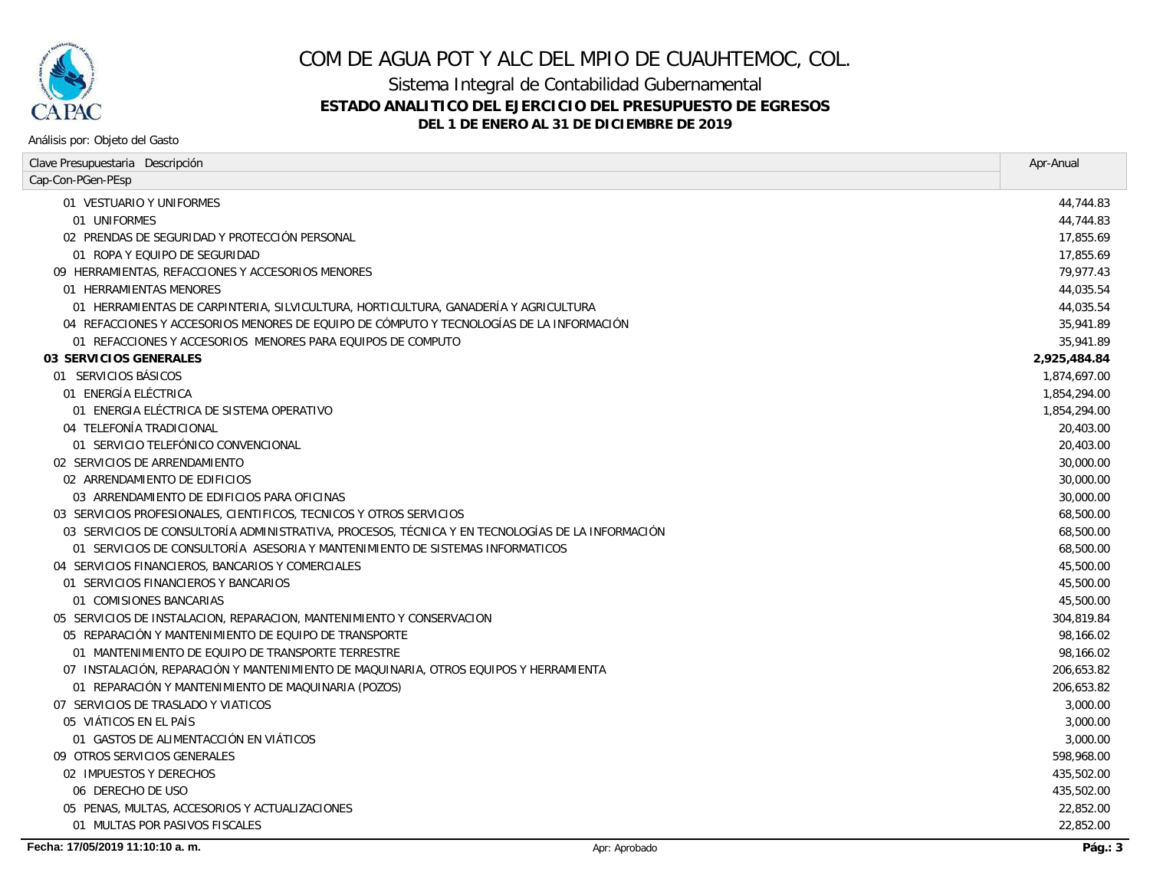

Sistema Integral de Contabilidad Gubernamental

### **ESTADO ANALITICO DEL EJERCICIO DEL PRESUPUESTO DE EGRESOS**

#### **DEL 1 DE ENERO AL 31 DE DICIEMBRE DE 2019**

| Clave Presupuestaria Descripción                                                                 | Apr-Anual    |
|--------------------------------------------------------------------------------------------------|--------------|
| Cap-Con-PGen-PEsp                                                                                |              |
| 01 VESTUARIO Y UNIFORMES                                                                         | 44,744.83    |
| 01 UNIFORMES                                                                                     | 44.744.83    |
| 02 PRENDAS DE SEGURIDAD Y PROTECCIÓN PERSONAL                                                    | 17,855.69    |
| 01 ROPA Y EQUIPO DE SEGURIDAD                                                                    | 17.855.69    |
| 09 HERRAMIENTAS, REFACCIONES Y ACCESORIOS MENORES                                                | 79,977.43    |
| 01 HERRAMIENTAS MENORES                                                                          | 44,035.54    |
| 01 HERRAMIENTAS DE CARPINTERIA, SILVICULTURA, HORTICULTURA, GANADERÍA Y AGRICULTURA              | 44,035.54    |
| 04 REFACCIONES Y ACCESORIOS MENORES DE EQUIPO DE CÓMPUTO Y TECNOLOGÍAS DE LA INFORMACIÓN         | 35,941.89    |
| 01 REFACCIONES Y ACCESORIOS MENORES PARA EQUIPOS DE COMPUTO                                      | 35,941.89    |
| 03 SERVICIOS GENERALES                                                                           | 2,925,484.84 |
| 01 SERVICIOS BÁSICOS                                                                             | 1,874,697.00 |
| 01 ENERGÍA ELÉCTRICA                                                                             | 1,854,294.00 |
| 01 ENERGIA ELÉCTRICA DE SISTEMA OPERATIVO                                                        | 1,854,294.00 |
| 04 TELEFONÍA TRADICIONAL                                                                         | 20,403.00    |
| 01 SERVICIO TELEFÓNICO CONVENCIONAL                                                              | 20,403.00    |
| 02 SERVICIOS DE ARRENDAMIENTO                                                                    | 30,000.00    |
| 02 ARRENDAMIENTO DE EDIFICIOS                                                                    | 30,000.00    |
| 03 ARRENDAMIENTO DE EDIFICIOS PARA OFICINAS                                                      | 30,000.00    |
| 03 SERVICIOS PROFESIONALES, CIENTIFICOS, TECNICOS Y OTROS SERVICIOS                              | 68,500.00    |
| 03 SERVICIOS DE CONSULTORÍA ADMINISTRATIVA, PROCESOS, TÉCNICA Y EN TECNOLOGÍAS DE LA INFORMACIÓN | 68,500.00    |
| 01 SERVICIOS DE CONSULTORÍA ASESORIA Y MANTENIMIENTO DE SISTEMAS INFORMATICOS                    | 68,500.00    |
| 04 SERVICIOS FINANCIEROS, BANCARIOS Y COMERCIALES                                                | 45,500.00    |
| 01 SERVICIOS FINANCIEROS Y BANCARIOS                                                             | 45,500.00    |
| 01 COMISIONES BANCARIAS                                                                          | 45,500.00    |
| 05 SERVICIOS DE INSTALACION, REPARACION, MANTENIMIENTO Y CONSERVACION                            | 304,819.84   |
| 05 REPARACIÓN Y MANTENIMIENTO DE EQUIPO DE TRANSPORTE                                            | 98.166.02    |
| 01 MANTENIMIENTO DE EQUIPO DE TRANSPORTE TERRESTRE                                               | 98,166.02    |
| 07 INSTALACIÓN, REPARACIÓN Y MANTENIMIENTO DE MAQUINARIA, OTROS EQUIPOS Y HERRAMIENTA            | 206,653.82   |
| 01 REPARACIÓN Y MANTENIMIENTO DE MAQUINARIA (POZOS)                                              | 206,653.82   |
| 07 SERVICIOS DE TRASLADO Y VIATICOS                                                              | 3,000.00     |
| 05 VIÁTICOS EN EL PAÍS                                                                           | 3,000.00     |
| 01 GASTOS DE ALIMENTACCIÓN EN VIÁTICOS                                                           | 3,000.00     |
| 09 OTROS SERVICIOS GENERALES                                                                     | 598,968.00   |
| 02 IMPUESTOS Y DERECHOS                                                                          | 435,502.00   |
| 06 DERECHO DE USO                                                                                | 435,502.00   |
| 05 PENAS, MULTAS, ACCESORIOS Y ACTUALIZACIONES                                                   | 22,852.00    |
| 01 MULTAS POR PASIVOS FISCALES                                                                   | 22.852.00    |